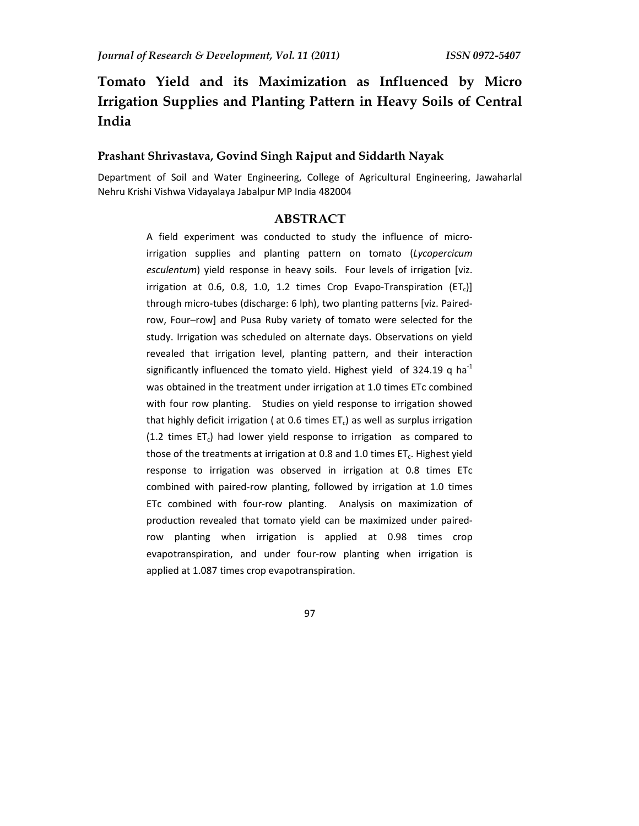# **Tomato Yield and its Maximization as Influenced by Micro Irrigation Supplies and Planting Pattern in Heavy Soils of Central India**

## **Prashant Shrivastava, Govind Singh Rajput and Siddarth Nayak**

Department of Soil and Water Engineering, College of Agricultural Engineering, Jawaharlal Nehru Krishi Vishwa Vidayalaya Jabalpur MP India 482004

#### **ABSTRACT**

A field experiment was conducted to study the influence of microirrigation supplies and planting pattern on tomato (*Lycopercicum esculentum*) yield response in heavy soils. Four levels of irrigation [viz. irrigation at 0.6, 0.8, 1.0, 1.2 times Crop Evapo-Transpiration  $(ET<sub>c</sub>)]$ through micro-tubes (discharge: 6 lph), two planting patterns [viz. Pairedrow, Four–row] and Pusa Ruby variety of tomato were selected for the study. Irrigation was scheduled on alternate days. Observations on yield revealed that irrigation level, planting pattern, and their interaction significantly influenced the tomato yield. Highest yield of 324.19 q ha<sup>-1</sup> was obtained in the treatment under irrigation at 1.0 times ETc combined with four row planting. Studies on yield response to irrigation showed that highly deficit irrigation ( at 0.6 times  $ET<sub>c</sub>$ ) as well as surplus irrigation (1.2 times  $ET_c$ ) had lower yield response to irrigation as compared to those of the treatments at irrigation at 0.8 and 1.0 times  $ET_c$ . Highest yield response to irrigation was observed in irrigation at 0.8 times ETc combined with paired-row planting, followed by irrigation at 1.0 times ETc combined with four-row planting. Analysis on maximization of production revealed that tomato yield can be maximized under pairedrow planting when irrigation is applied at 0.98 times crop evapotranspiration, and under four-row planting when irrigation is applied at 1.087 times crop evapotranspiration.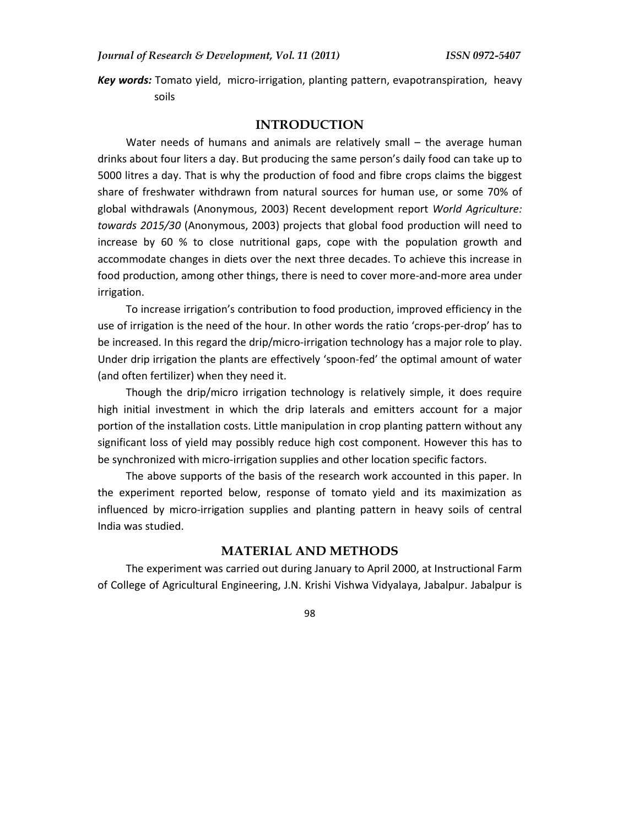*Key words:* Tomato yield, micro-irrigation, planting pattern, evapotranspiration, heavy soils

#### **INTRODUCTION**

Water needs of humans and animals are relatively small – the average human drinks about four liters a day. But producing the same person's daily food can take up to 5000 litres a day. That is why the production of food and fibre crops claims the biggest share of freshwater withdrawn from natural sources for human use, or some 70% of global withdrawals (Anonymous, 2003) Recent development report *World Agriculture: towards 2015/30* (Anonymous, 2003) projects that global food production will need to increase by 60 % to close nutritional gaps, cope with the population growth and accommodate changes in diets over the next three decades. To achieve this increase in food production, among other things, there is need to cover more-and-more area under irrigation.

To increase irrigation's contribution to food production, improved efficiency in the use of irrigation is the need of the hour. In other words the ratio 'crops-per-drop' has to be increased. In this regard the drip/micro-irrigation technology has a major role to play. Under drip irrigation the plants are effectively 'spoon-fed' the optimal amount of water (and often fertilizer) when they need it.

Though the drip/micro irrigation technology is relatively simple, it does require high initial investment in which the drip laterals and emitters account for a major portion of the installation costs. Little manipulation in crop planting pattern without any significant loss of yield may possibly reduce high cost component. However this has to be synchronized with micro-irrigation supplies and other location specific factors.

The above supports of the basis of the research work accounted in this paper. In the experiment reported below, response of tomato yield and its maximization as influenced by micro-irrigation supplies and planting pattern in heavy soils of central India was studied.

# **MATERIAL AND METHODS**

The experiment was carried out during January to April 2000, at Instructional Farm of College of Agricultural Engineering, J.N. Krishi Vishwa Vidyalaya, Jabalpur. Jabalpur is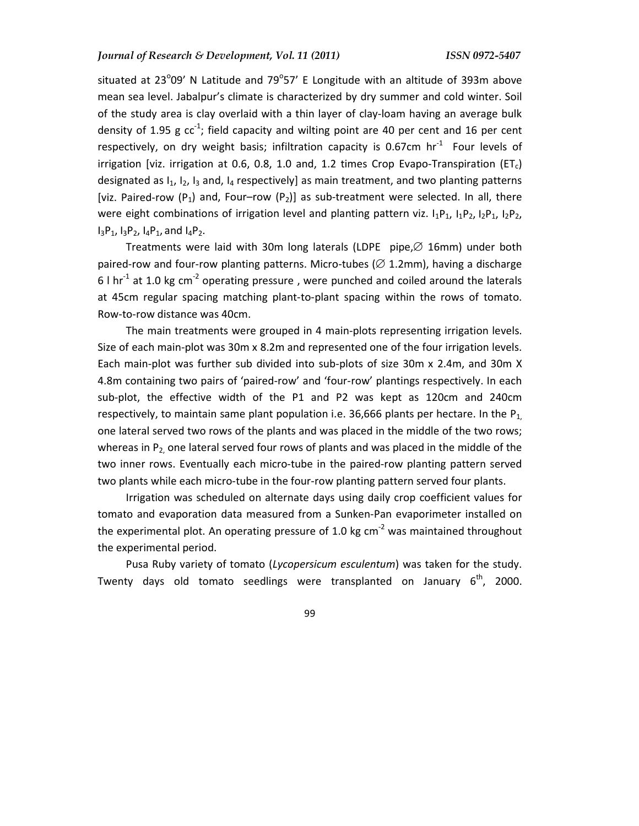situated at 23 $^{\circ}$ 09' N Latitude and 79 $^{\circ}$ 57' E Longitude with an altitude of 393m above mean sea level. Jabalpur's climate is characterized by dry summer and cold winter. Soil of the study area is clay overlaid with a thin layer of clay-loam having an average bulk density of 1.95 g  $cc^{-1}$ ; field capacity and wilting point are 40 per cent and 16 per cent respectively, on dry weight basis; infiltration capacity is 0.67cm  $hr<sup>-1</sup>$  Four levels of irrigation [viz. irrigation at 0.6, 0.8, 1.0 and, 1.2 times Crop Evapo-Transpiration (ET<sub>c</sub>) designated as  $I_1$ ,  $I_2$ ,  $I_3$  and,  $I_4$  respectively] as main treatment, and two planting patterns [viz. Paired-row (P<sub>1</sub>) and, Four–row (P<sub>2</sub>)] as sub-treatment were selected. In all, there were eight combinations of irrigation level and planting pattern viz.  $I_1P_1$ ,  $I_1P_2$ ,  $I_2P_1$ ,  $I_2P_2$ ,  $I_3P_1$ ,  $I_3P_2$ ,  $I_4P_1$ , and  $I_4P_2$ .

Treatments were laid with 30m long laterals (LDPE pipe,∅ 16mm) under both paired-row and four-row planting patterns. Micro-tubes ( $\varnothing$  1.2mm), having a discharge 6 l  $hr<sup>-1</sup>$  at 1.0 kg cm<sup>-2</sup> operating pressure, were punched and coiled around the laterals at 45cm regular spacing matching plant-to-plant spacing within the rows of tomato. Row-to-row distance was 40cm.

The main treatments were grouped in 4 main-plots representing irrigation levels. Size of each main-plot was 30m x 8.2m and represented one of the four irrigation levels. Each main-plot was further sub divided into sub-plots of size 30m x 2.4m, and 30m X 4.8m containing two pairs of 'paired-row' and 'four-row' plantings respectively. In each sub-plot, the effective width of the P1 and P2 was kept as 120cm and 240cm respectively, to maintain same plant population i.e. 36,666 plants per hectare. In the  $P_1$ one lateral served two rows of the plants and was placed in the middle of the two rows; whereas in  $P_2$  one lateral served four rows of plants and was placed in the middle of the two inner rows. Eventually each micro-tube in the paired-row planting pattern served two plants while each micro-tube in the four-row planting pattern served four plants.

Irrigation was scheduled on alternate days using daily crop coefficient values for tomato and evaporation data measured from a Sunken-Pan evaporimeter installed on the experimental plot. An operating pressure of 1.0 kg  $cm<sup>-2</sup>$  was maintained throughout the experimental period.

Pusa Ruby variety of tomato (*Lycopersicum esculentum*) was taken for the study. Twenty days old tomato seedlings were transplanted on January  $6<sup>th</sup>$ , 2000.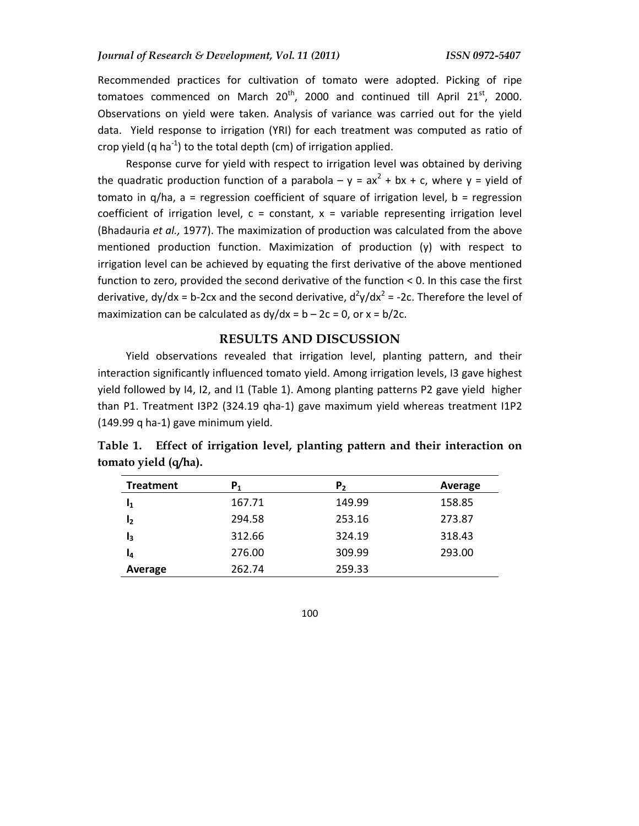Recommended practices for cultivation of tomato were adopted. Picking of ripe tomatoes commenced on March  $20^{th}$ , 2000 and continued till April  $21^{st}$ , 2000. Observations on yield were taken. Analysis of variance was carried out for the yield data. Yield response to irrigation (YRI) for each treatment was computed as ratio of crop yield (q ha<sup>-1</sup>) to the total depth (cm) of irrigation applied.

Response curve for yield with respect to irrigation level was obtained by deriving the quadratic production function of a parabola –  $y = ax^2 + bx + c$ , where  $y =$  yield of tomato in  $q/ha$ ,  $a$  = regression coefficient of square of irrigation level,  $b$  = regression coefficient of irrigation level,  $c = constant$ ,  $x = variable$  representing irrigation level (Bhadauria *et al.,* 1977). The maximization of production was calculated from the above mentioned production function. Maximization of production (y) with respect to irrigation level can be achieved by equating the first derivative of the above mentioned function to zero, provided the second derivative of the function < 0. In this case the first derivative, dy/dx = b-2cx and the second derivative,  $d^2y/dx^2$  = -2c. Therefore the level of maximization can be calculated as  $dy/dx = b - 2c = 0$ , or  $x = b/2c$ .

#### **RESULTS AND DISCUSSION**

Yield observations revealed that irrigation level, planting pattern, and their interaction significantly influenced tomato yield. Among irrigation levels, I3 gave highest yield followed by I4, I2, and I1 (Table 1). Among planting patterns P2 gave yield higher than P1. Treatment I3P2 (324.19 qha-1) gave maximum yield whereas treatment I1P2 (149.99 q ha-1) gave minimum yield.

| <b>Treatment</b> | P1     | Р,     | Average |
|------------------|--------|--------|---------|
| I1               | 167.71 | 149.99 | 158.85  |
| I2               | 294.58 | 253.16 | 273.87  |
| l3               | 312.66 | 324.19 | 318.43  |
| I4               | 276.00 | 309.99 | 293.00  |
| Average          | 262.74 | 259.33 |         |

**Table 1. Effect of irrigation level, planting pattern and their interaction on tomato yield (q/ha).**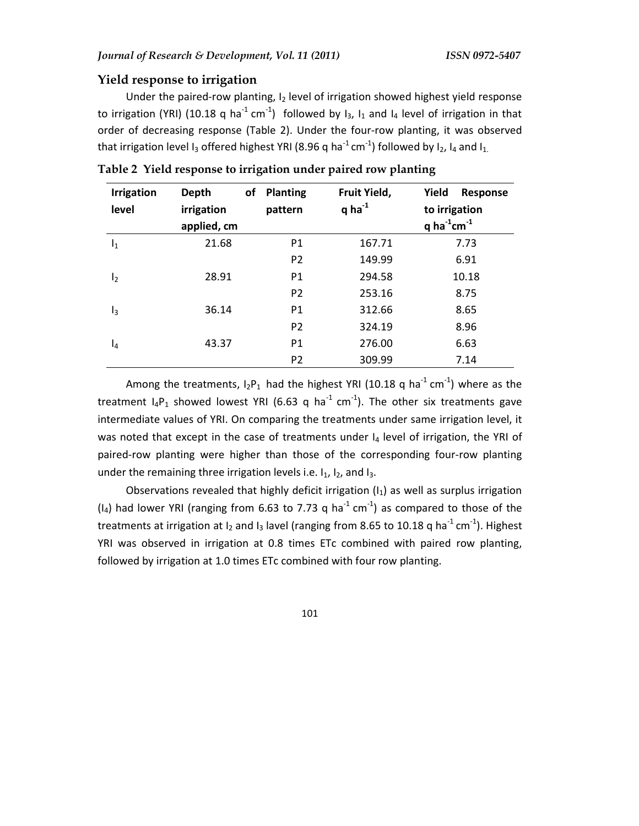## **Yield response to irrigation**

Under the paired-row planting, I<sub>2</sub> level of irrigation showed highest yield response to irrigation (YRI) (10.18 q ha<sup>-1</sup> cm<sup>-1</sup>) followed by  $I_3$ ,  $I_1$  and  $I_4$  level of irrigation in that order of decreasing response (Table 2). Under the four-row planting, it was observed that irrigation level I<sub>3</sub> offered highest YRI (8.96 q ha<sup>-1</sup> cm<sup>-1</sup>) followed by I<sub>2</sub>, I<sub>4</sub> and I<sub>1.</sub>

| <b>Irrigation</b><br>level | <b>Depth</b><br>οf<br>irrigation<br>applied, cm | <b>Planting</b><br>pattern | Fruit Yield,<br>q ha $^{-1}$ | Yield<br>Response<br>to irrigation<br>q ha $^{-1}$ cm $^{-1}$ |
|----------------------------|-------------------------------------------------|----------------------------|------------------------------|---------------------------------------------------------------|
| $I_1$                      | 21.68                                           | P <sub>1</sub>             | 167.71                       | 7.73                                                          |
|                            |                                                 | P <sub>2</sub>             | 149.99                       | 6.91                                                          |
| I <sub>2</sub>             | 28.91                                           | P <sub>1</sub>             | 294.58                       | 10.18                                                         |
|                            |                                                 | P <sub>2</sub>             | 253.16                       | 8.75                                                          |
| $\mathsf{I}_3$             | 36.14                                           | P <sub>1</sub>             | 312.66                       | 8.65                                                          |
|                            |                                                 | P <sub>2</sub>             | 324.19                       | 8.96                                                          |
| $I_4$                      | 43.37                                           | P <sub>1</sub>             | 276.00                       | 6.63                                                          |
|                            |                                                 | P <sub>2</sub>             | 309.99                       | 7.14                                                          |

**Table 2 Yield response to irrigation under paired row planting** 

Among the treatments,  $I_2P_1$  had the highest YRI (10.18 q ha<sup>-1</sup> cm<sup>-1</sup>) where as the treatment  $I_4P_1$  showed lowest YRI (6.63 q ha<sup>-1</sup> cm<sup>-1</sup>). The other six treatments gave intermediate values of YRI. On comparing the treatments under same irrigation level, it was noted that except in the case of treatments under  $I_4$  level of irrigation, the YRI of paired-row planting were higher than those of the corresponding four-row planting under the remaining three irrigation levels i.e.  $I_1$ ,  $I_2$ , and  $I_3$ .

Observations revealed that highly deficit irrigation  $(I_1)$  as well as surplus irrigation  $(I_4)$  had lower YRI (ranging from 6.63 to 7.73 q ha<sup>-1</sup> cm<sup>-1</sup>) as compared to those of the treatments at irrigation at  $I_2$  and  $I_3$  lavel (ranging from 8.65 to 10.18 q ha<sup>-1</sup> cm<sup>-1</sup>). Highest YRI was observed in irrigation at 0.8 times ETc combined with paired row planting, followed by irrigation at 1.0 times ETc combined with four row planting.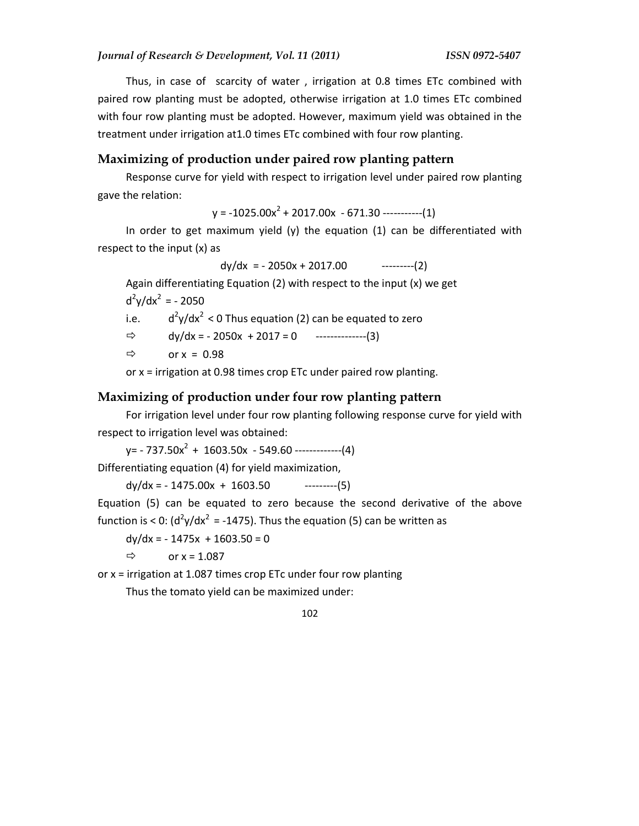Thus, in case of scarcity of water , irrigation at 0.8 times ETc combined with paired row planting must be adopted, otherwise irrigation at 1.0 times ETc combined with four row planting must be adopted. However, maximum yield was obtained in the treatment under irrigation at1.0 times ETc combined with four row planting.

# **Maximizing of production under paired row planting pattern**

Response curve for yield with respect to irrigation level under paired row planting gave the relation:

 $y = -1025.00x^{2} + 2017.00x - 671.30$  -----------(1)

In order to get maximum yield (y) the equation  $(1)$  can be differentiated with respect to the input (x) as

 $dy/dx$  = -2050x + 2017.00 ---------(2)

Again differentiating Equation (2) with respect to the input (x) we get

 $d^2y/dx^2 = -2050$ 

i.e.  $d^2y/dx^2$  < 0 Thus equation (2) can be equated to zero

$$
\Rightarrow \qquad dy/dx = -2050x + 2017 = 0 \qquad \qquad \text{---}
$$

 $\Rightarrow$  or x = 0.98

or x = irrigation at 0.98 times crop ETc under paired row planting.

#### **Maximizing of production under four row planting pattern**

For irrigation level under four row planting following response curve for yield with respect to irrigation level was obtained:

 $y = -737.50x^{2} + 1603.50x - 549.60$  -------------(4)

Differentiating equation (4) for yield maximization,

 $dy/dx = -1475.00x + 1603.50$  ---------(5)

Equation (5) can be equated to zero because the second derivative of the above function is < 0:  $(d^2y/dx^2 = -1475)$ . Thus the equation (5) can be written as

 $dy/dx = -1475x + 1603.50 = 0$ 

 $\Rightarrow$  or x = 1.087

or  $x =$  irrigation at 1.087 times crop ETc under four row planting

Thus the tomato yield can be maximized under:

$$
102 \\
$$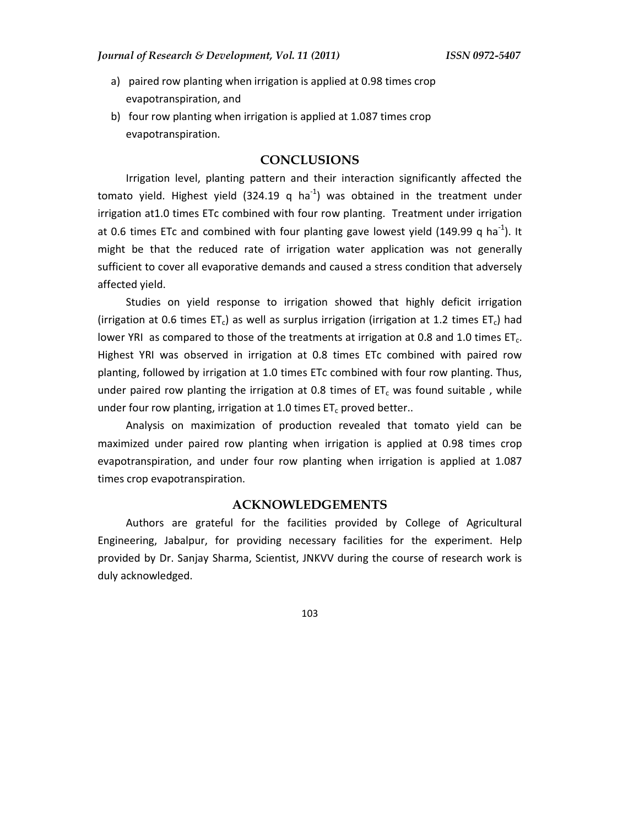- a) paired row planting when irrigation is applied at 0.98 times crop evapotranspiration, and
- b) four row planting when irrigation is applied at 1.087 times crop evapotranspiration.

# **CONCLUSIONS**

Irrigation level, planting pattern and their interaction significantly affected the tomato yield. Highest yield (324.19 q ha<sup>-1</sup>) was obtained in the treatment under irrigation at1.0 times ETc combined with four row planting. Treatment under irrigation at 0.6 times ETc and combined with four planting gave lowest yield (149.99 q ha<sup>-1</sup>). It might be that the reduced rate of irrigation water application was not generally sufficient to cover all evaporative demands and caused a stress condition that adversely affected yield.

Studies on yield response to irrigation showed that highly deficit irrigation (irrigation at 0.6 times ET<sub>c</sub>) as well as surplus irrigation (irrigation at 1.2 times ET<sub>c</sub>) had lower YRI as compared to those of the treatments at irrigation at 0.8 and 1.0 times  $ET_c$ . Highest YRI was observed in irrigation at 0.8 times ETc combined with paired row planting, followed by irrigation at 1.0 times ETc combined with four row planting. Thus, under paired row planting the irrigation at 0.8 times of  $ET_c$  was found suitable, while under four row planting, irrigation at 1.0 times  $ET_c$  proved better..

Analysis on maximization of production revealed that tomato yield can be maximized under paired row planting when irrigation is applied at 0.98 times crop evapotranspiration, and under four row planting when irrigation is applied at 1.087 times crop evapotranspiration.

#### **ACKNOWLEDGEMENTS**

Authors are grateful for the facilities provided by College of Agricultural Engineering, Jabalpur, for providing necessary facilities for the experiment. Help provided by Dr. Sanjay Sharma, Scientist, JNKVV during the course of research work is duly acknowledged.